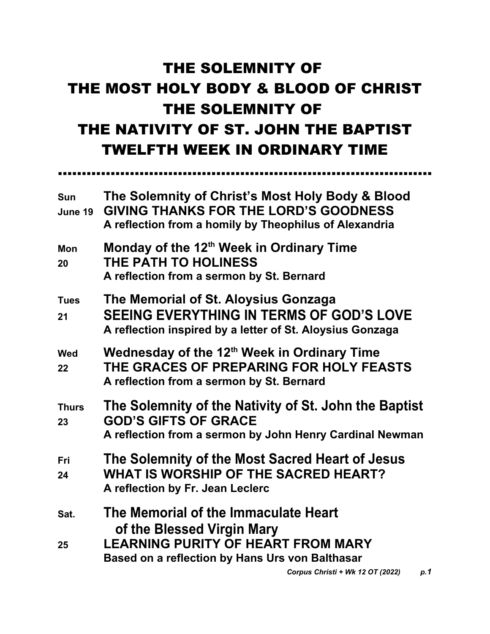# THE SOLEMNITY OF THE MOST HOLY BODY & BLOOD OF CHRIST THE SOLEMNITY OF THE NATIVITY OF ST. JOHN THE BAPTIST TWELFTH WEEK IN ORDINARY TIME

……………………………………………………………………

| <b>Sun</b><br>June 19 | The Solemnity of Christ's Most Holy Body & Blood<br><b>GIVING THANKS FOR THE LORD'S GOODNESS</b><br>A reflection from a homily by Theophilus of Alexandria         |
|-----------------------|--------------------------------------------------------------------------------------------------------------------------------------------------------------------|
| <b>Mon</b><br>20      | Monday of the 12 <sup>th</sup> Week in Ordinary Time<br>THE PATH TO HOLINESS<br>A reflection from a sermon by St. Bernard                                          |
| <b>Tues</b><br>21     | The Memorial of St. Aloysius Gonzaga<br><b>SEEING EVERYTHING IN TERMS OF GOD'S LOVE</b><br>A reflection inspired by a letter of St. Aloysius Gonzaga               |
| <b>Wed</b><br>22      | Wednesday of the 12 <sup>th</sup> Week in Ordinary Time<br>THE GRACES OF PREPARING FOR HOLY FEASTS<br>A reflection from a sermon by St. Bernard                    |
| <b>Thurs</b><br>23    | The Solemnity of the Nativity of St. John the Baptist<br><b>GOD'S GIFTS OF GRACE</b><br>A reflection from a sermon by John Henry Cardinal Newman                   |
| <b>Fri</b><br>24      | The Solemnity of the Most Sacred Heart of Jesus<br><b>WHAT IS WORSHIP OF THE SACRED HEART?</b><br>A reflection by Fr. Jean Leclerc                                 |
| Sat.<br>25            | The Memorial of the Immaculate Heart<br>of the Blessed Virgin Mary<br><b>LEARNING PURITY OF HEART FROM MARY</b><br>Based on a reflection by Hans Urs von Balthasar |
|                       | Corpus Christi + Wk 12 OT (2022)<br>p.1                                                                                                                            |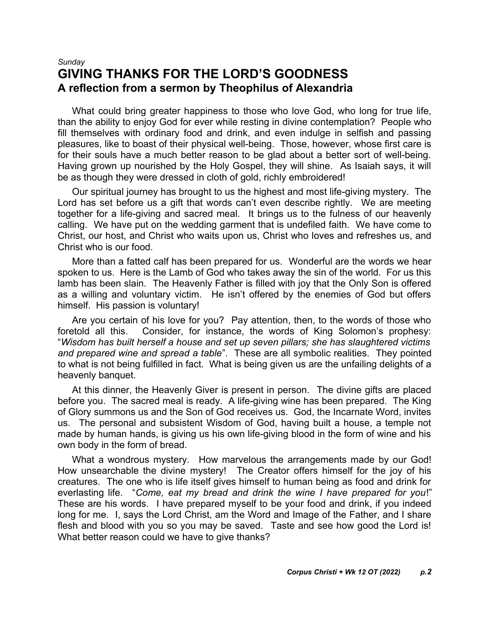#### *Sunday* **GIVING THANKS FOR THE LORD'S GOODNESS A reflection from a sermon by Theophilus of Alexandria**

What could bring greater happiness to those who love God, who long for true life, than the ability to enjoy God for ever while resting in divine contemplation? People who fill themselves with ordinary food and drink, and even indulge in selfish and passing pleasures, like to boast of their physical well-being. Those, however, whose first care is for their souls have a much better reason to be glad about a better sort of well-being. Having grown up nourished by the Holy Gospel, they will shine. As Isaiah says, it will be as though they were dressed in cloth of gold, richly embroidered!

Our spiritual journey has brought to us the highest and most life-giving mystery. The Lord has set before us a gift that words can't even describe rightly. We are meeting together for a life-giving and sacred meal. It brings us to the fulness of our heavenly calling. We have put on the wedding garment that is undefiled faith. We have come to Christ, our host, and Christ who waits upon us, Christ who loves and refreshes us, and Christ who is our food.

More than a fatted calf has been prepared for us. Wonderful are the words we hear spoken to us. Here is the Lamb of God who takes away the sin of the world. For us this lamb has been slain. The Heavenly Father is filled with joy that the Only Son is offered as a willing and voluntary victim. He isn't offered by the enemies of God but offers himself. His passion is voluntary!

Are you certain of his love for you? Pay attention, then, to the words of those who foretold all this. Consider, for instance, the words of King Solomon's prophesy: "*Wisdom has built herself a house and set up seven pillars; she has slaughtered victims and prepared wine and spread a table*". These are all symbolic realities. They pointed to what is not being fulfilled in fact. What is being given us are the unfailing delights of a heavenly banquet.

At this dinner, the Heavenly Giver is present in person. The divine gifts are placed before you. The sacred meal is ready. A life-giving wine has been prepared. The King of Glory summons us and the Son of God receives us. God, the Incarnate Word, invites us. The personal and subsistent Wisdom of God, having built a house, a temple not made by human hands, is giving us his own life-giving blood in the form of wine and his own body in the form of bread.

What a wondrous mystery. How marvelous the arrangements made by our God! How unsearchable the divine mystery! The Creator offers himself for the joy of his creatures. The one who is life itself gives himself to human being as food and drink for everlasting life. "*Come, eat my bread and drink the wine I have prepared for you*!" These are his words. I have prepared myself to be your food and drink, if you indeed long for me. I, says the Lord Christ, am the Word and Image of the Father, and I share flesh and blood with you so you may be saved. Taste and see how good the Lord is! What better reason could we have to give thanks?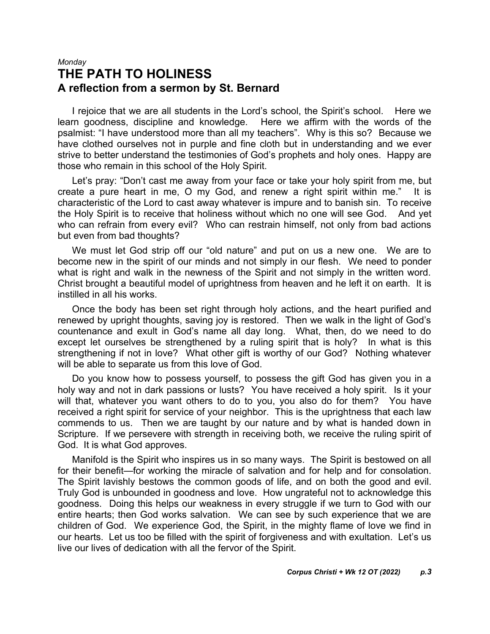#### *Monday* **THE PATH TO HOLINESS A reflection from a sermon by St. Bernard**

I rejoice that we are all students in the Lord's school, the Spirit's school. Here we learn goodness, discipline and knowledge. Here we affirm with the words of the psalmist: "I have understood more than all my teachers". Why is this so? Because we have clothed ourselves not in purple and fine cloth but in understanding and we ever strive to better understand the testimonies of God's prophets and holy ones. Happy are those who remain in this school of the Holy Spirit.

Let's pray: "Don't cast me away from your face or take your holy spirit from me, but create a pure heart in me, O my God, and renew a right spirit within me." It is characteristic of the Lord to cast away whatever is impure and to banish sin. To receive the Holy Spirit is to receive that holiness without which no one will see God. And yet who can refrain from every evil? Who can restrain himself, not only from bad actions but even from bad thoughts?

We must let God strip off our "old nature" and put on us a new one. We are to become new in the spirit of our minds and not simply in our flesh. We need to ponder what is right and walk in the newness of the Spirit and not simply in the written word. Christ brought a beautiful model of uprightness from heaven and he left it on earth. It is instilled in all his works.

Once the body has been set right through holy actions, and the heart purified and renewed by upright thoughts, saving joy is restored. Then we walk in the light of God's countenance and exult in God's name all day long. What, then, do we need to do except let ourselves be strengthened by a ruling spirit that is holy? In what is this strengthening if not in love? What other gift is worthy of our God? Nothing whatever will be able to separate us from this love of God.

Do you know how to possess yourself, to possess the gift God has given you in a holy way and not in dark passions or lusts? You have received a holy spirit. Is it your will that, whatever you want others to do to you, you also do for them? You have received a right spirit for service of your neighbor. This is the uprightness that each law commends to us. Then we are taught by our nature and by what is handed down in Scripture. If we persevere with strength in receiving both, we receive the ruling spirit of God. It is what God approves.

Manifold is the Spirit who inspires us in so many ways. The Spirit is bestowed on all for their benefit—for working the miracle of salvation and for help and for consolation. The Spirit lavishly bestows the common goods of life, and on both the good and evil. Truly God is unbounded in goodness and love. How ungrateful not to acknowledge this goodness. Doing this helps our weakness in every struggle if we turn to God with our entire hearts; then God works salvation. We can see by such experience that we are children of God. We experience God, the Spirit, in the mighty flame of love we find in our hearts. Let us too be filled with the spirit of forgiveness and with exultation. Let's us live our lives of dedication with all the fervor of the Spirit.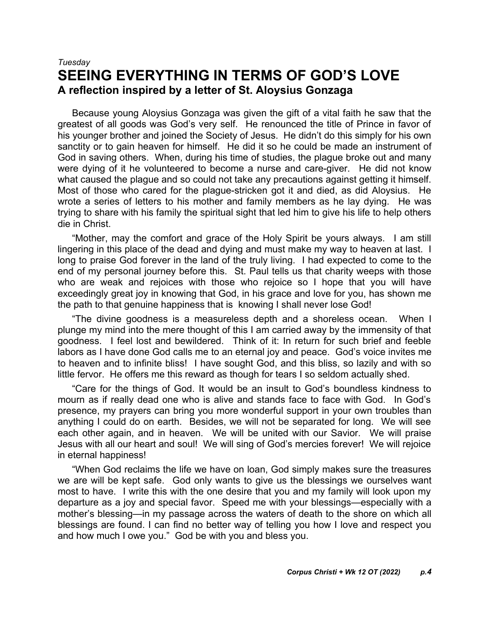## *Tuesday* **SEEING EVERYTHING IN TERMS OF GOD'S LOVE A reflection inspired by a letter of St. Aloysius Gonzaga**

Because young Aloysius Gonzaga was given the gift of a vital faith he saw that the greatest of all goods was God's very self. He renounced the title of Prince in favor of his younger brother and joined the Society of Jesus. He didn't do this simply for his own sanctity or to gain heaven for himself. He did it so he could be made an instrument of God in saving others. When, during his time of studies, the plague broke out and many were dying of it he volunteered to become a nurse and care-giver. He did not know what caused the plague and so could not take any precautions against getting it himself. Most of those who cared for the plague-stricken got it and died, as did Aloysius. He wrote a series of letters to his mother and family members as he lay dying. He was trying to share with his family the spiritual sight that led him to give his life to help others die in Christ.

"Mother, may the comfort and grace of the Holy Spirit be yours always. I am still lingering in this place of the dead and dying and must make my way to heaven at last. I long to praise God forever in the land of the truly living. I had expected to come to the end of my personal journey before this. St. Paul tells us that charity weeps with those who are weak and rejoices with those who rejoice so I hope that you will have exceedingly great joy in knowing that God, in his grace and love for you, has shown me the path to that genuine happiness that is knowing I shall never lose God!

"The divine goodness is a measureless depth and a shoreless ocean. When I plunge my mind into the mere thought of this I am carried away by the immensity of that goodness. I feel lost and bewildered. Think of it: In return for such brief and feeble labors as I have done God calls me to an eternal joy and peace. God's voice invites me to heaven and to infinite bliss! I have sought God, and this bliss, so lazily and with so little fervor. He offers me this reward as though for tears I so seldom actually shed.

"Care for the things of God. It would be an insult to God's boundless kindness to mourn as if really dead one who is alive and stands face to face with God. In God's presence, my prayers can bring you more wonderful support in your own troubles than anything I could do on earth. Besides, we will not be separated for long. We will see each other again, and in heaven. We will be united with our Savior. We will praise Jesus with all our heart and soul! We will sing of God's mercies forever! We will rejoice in eternal happiness!

"When God reclaims the life we have on loan, God simply makes sure the treasures we are will be kept safe. God only wants to give us the blessings we ourselves want most to have. I write this with the one desire that you and my family will look upon my departure as a joy and special favor. Speed me with your blessings—especially with a mother's blessing—in my passage across the waters of death to the shore on which all blessings are found. I can find no better way of telling you how I love and respect you and how much I owe you." God be with you and bless you.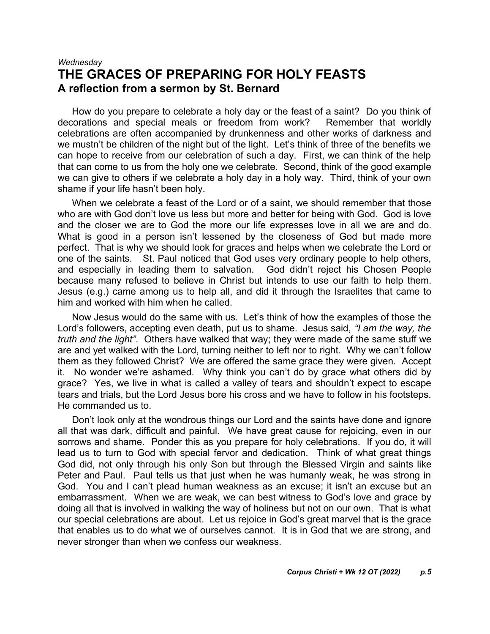#### *Wednesday* **THE GRACES OF PREPARING FOR HOLY FEASTS A reflection from a sermon by St. Bernard**

How do you prepare to celebrate a holy day or the feast of a saint? Do you think of decorations and special meals or freedom from work? Remember that worldly celebrations are often accompanied by drunkenness and other works of darkness and we mustn't be children of the night but of the light. Let's think of three of the benefits we can hope to receive from our celebration of such a day. First, we can think of the help that can come to us from the holy one we celebrate. Second, think of the good example we can give to others if we celebrate a holy day in a holy way. Third, think of your own shame if your life hasn't been holy.

When we celebrate a feast of the Lord or of a saint, we should remember that those who are with God don't love us less but more and better for being with God. God is love and the closer we are to God the more our life expresses love in all we are and do. What is good in a person isn't lessened by the closeness of God but made more perfect. That is why we should look for graces and helps when we celebrate the Lord or one of the saints. St. Paul noticed that God uses very ordinary people to help others, and especially in leading them to salvation. God didn't reject his Chosen People because many refused to believe in Christ but intends to use our faith to help them. Jesus (e.g.) came among us to help all, and did it through the Israelites that came to him and worked with him when he called.

Now Jesus would do the same with us. Let's think of how the examples of those the Lord's followers, accepting even death, put us to shame. Jesus said, *"I am the way, the truth and the light"*. Others have walked that way; they were made of the same stuff we are and yet walked with the Lord, turning neither to left nor to right. Why we can't follow them as they followed Christ? We are offered the same grace they were given. Accept it. No wonder we're ashamed. Why think you can't do by grace what others did by grace? Yes, we live in what is called a valley of tears and shouldn't expect to escape tears and trials, but the Lord Jesus bore his cross and we have to follow in his footsteps. He commanded us to.

Don't look only at the wondrous things our Lord and the saints have done and ignore all that was dark, difficult and painful. We have great cause for rejoicing, even in our sorrows and shame. Ponder this as you prepare for holy celebrations. If you do, it will lead us to turn to God with special fervor and dedication. Think of what great things God did, not only through his only Son but through the Blessed Virgin and saints like Peter and Paul. Paul tells us that just when he was humanly weak, he was strong in God. You and I can't plead human weakness as an excuse; it isn't an excuse but an embarrassment. When we are weak, we can best witness to God's love and grace by doing all that is involved in walking the way of holiness but not on our own. That is what our special celebrations are about. Let us rejoice in God's great marvel that is the grace that enables us to do what we of ourselves cannot. It is in God that we are strong, and never stronger than when we confess our weakness.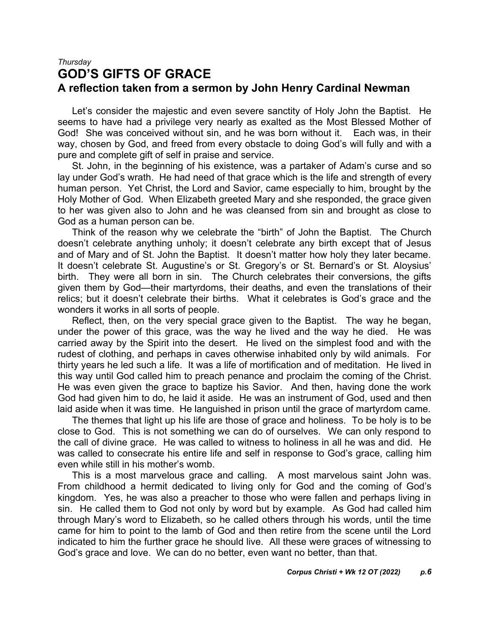### *Thursday* **GOD'S GIFTS OF GRACE A reflection taken from a sermon by John Henry Cardinal Newman**

Let's consider the majestic and even severe sanctity of Holy John the Baptist. He seems to have had a privilege very nearly as exalted as the Most Blessed Mother of God! She was conceived without sin, and he was born without it. Each was, in their way, chosen by God, and freed from every obstacle to doing God's will fully and with a pure and complete gift of self in praise and service.

St. John, in the beginning of his existence, was a partaker of Adam's curse and so lay under God's wrath. He had need of that grace which is the life and strength of every human person. Yet Christ, the Lord and Savior, came especially to him, brought by the Holy Mother of God. When Elizabeth greeted Mary and she responded, the grace given to her was given also to John and he was cleansed from sin and brought as close to God as a human person can be.

Think of the reason why we celebrate the "birth" of John the Baptist. The Church doesn't celebrate anything unholy; it doesn't celebrate any birth except that of Jesus and of Mary and of St. John the Baptist. It doesn't matter how holy they later became. It doesn't celebrate St. Augustine's or St. Gregory's or St. Bernard's or St. Aloysius' birth. They were all born in sin. The Church celebrates their conversions, the gifts given them by God—their martyrdoms, their deaths, and even the translations of their relics; but it doesn't celebrate their births. What it celebrates is God's grace and the wonders it works in all sorts of people.

Reflect, then, on the very special grace given to the Baptist. The way he began, under the power of this grace, was the way he lived and the way he died. He was carried away by the Spirit into the desert. He lived on the simplest food and with the rudest of clothing, and perhaps in caves otherwise inhabited only by wild animals. For thirty years he led such a life. It was a life of mortification and of meditation. He lived in this way until God called him to preach penance and proclaim the coming of the Christ. He was even given the grace to baptize his Savior. And then, having done the work God had given him to do, he laid it aside. He was an instrument of God, used and then laid aside when it was time. He languished in prison until the grace of martyrdom came.

The themes that light up his life are those of grace and holiness. To be holy is to be close to God. This is not something we can do of ourselves. We can only respond to the call of divine grace. He was called to witness to holiness in all he was and did. He was called to consecrate his entire life and self in response to God's grace, calling him even while still in his mother's womb.

This is a most marvelous grace and calling. A most marvelous saint John was. From childhood a hermit dedicated to living only for God and the coming of God's kingdom. Yes, he was also a preacher to those who were fallen and perhaps living in sin. He called them to God not only by word but by example. As God had called him through Mary's word to Elizabeth, so he called others through his words, until the time came for him to point to the lamb of God and then retire from the scene until the Lord indicated to him the further grace he should live. All these were graces of witnessing to God's grace and love. We can do no better, even want no better, than that.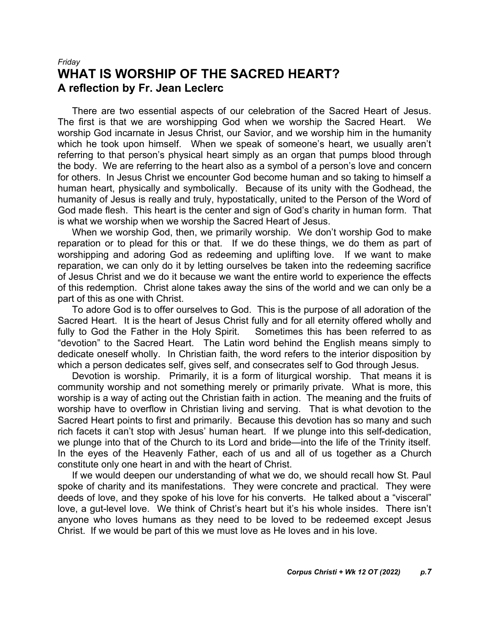#### *Friday* **WHAT IS WORSHIP OF THE SACRED HEART? A reflection by Fr. Jean Leclerc**

There are two essential aspects of our celebration of the Sacred Heart of Jesus. The first is that we are worshipping God when we worship the Sacred Heart. We worship God incarnate in Jesus Christ, our Savior, and we worship him in the humanity which he took upon himself. When we speak of someone's heart, we usually aren't referring to that person's physical heart simply as an organ that pumps blood through the body. We are referring to the heart also as a symbol of a person's love and concern for others. In Jesus Christ we encounter God become human and so taking to himself a human heart, physically and symbolically. Because of its unity with the Godhead, the humanity of Jesus is really and truly, hypostatically, united to the Person of the Word of God made flesh. This heart is the center and sign of God's charity in human form. That is what we worship when we worship the Sacred Heart of Jesus.

When we worship God, then, we primarily worship. We don't worship God to make reparation or to plead for this or that. If we do these things, we do them as part of worshipping and adoring God as redeeming and uplifting love. If we want to make reparation, we can only do it by letting ourselves be taken into the redeeming sacrifice of Jesus Christ and we do it because we want the entire world to experience the effects of this redemption. Christ alone takes away the sins of the world and we can only be a part of this as one with Christ.

To adore God is to offer ourselves to God. This is the purpose of all adoration of the Sacred Heart. It is the heart of Jesus Christ fully and for all eternity offered wholly and fully to God the Father in the Holy Spirit. Sometimes this has been referred to as "devotion" to the Sacred Heart. The Latin word behind the English means simply to dedicate oneself wholly. In Christian faith, the word refers to the interior disposition by which a person dedicates self, gives self, and consecrates self to God through Jesus.

Devotion is worship. Primarily, it is a form of liturgical worship. That means it is community worship and not something merely or primarily private. What is more, this worship is a way of acting out the Christian faith in action. The meaning and the fruits of worship have to overflow in Christian living and serving. That is what devotion to the Sacred Heart points to first and primarily. Because this devotion has so many and such rich facets it can't stop with Jesus' human heart. If we plunge into this self-dedication, we plunge into that of the Church to its Lord and bride—into the life of the Trinity itself. In the eyes of the Heavenly Father, each of us and all of us together as a Church constitute only one heart in and with the heart of Christ.

If we would deepen our understanding of what we do, we should recall how St. Paul spoke of charity and its manifestations. They were concrete and practical. They were deeds of love, and they spoke of his love for his converts. He talked about a "visceral" love, a gut-level love. We think of Christ's heart but it's his whole insides. There isn't anyone who loves humans as they need to be loved to be redeemed except Jesus Christ. If we would be part of this we must love as He loves and in his love.